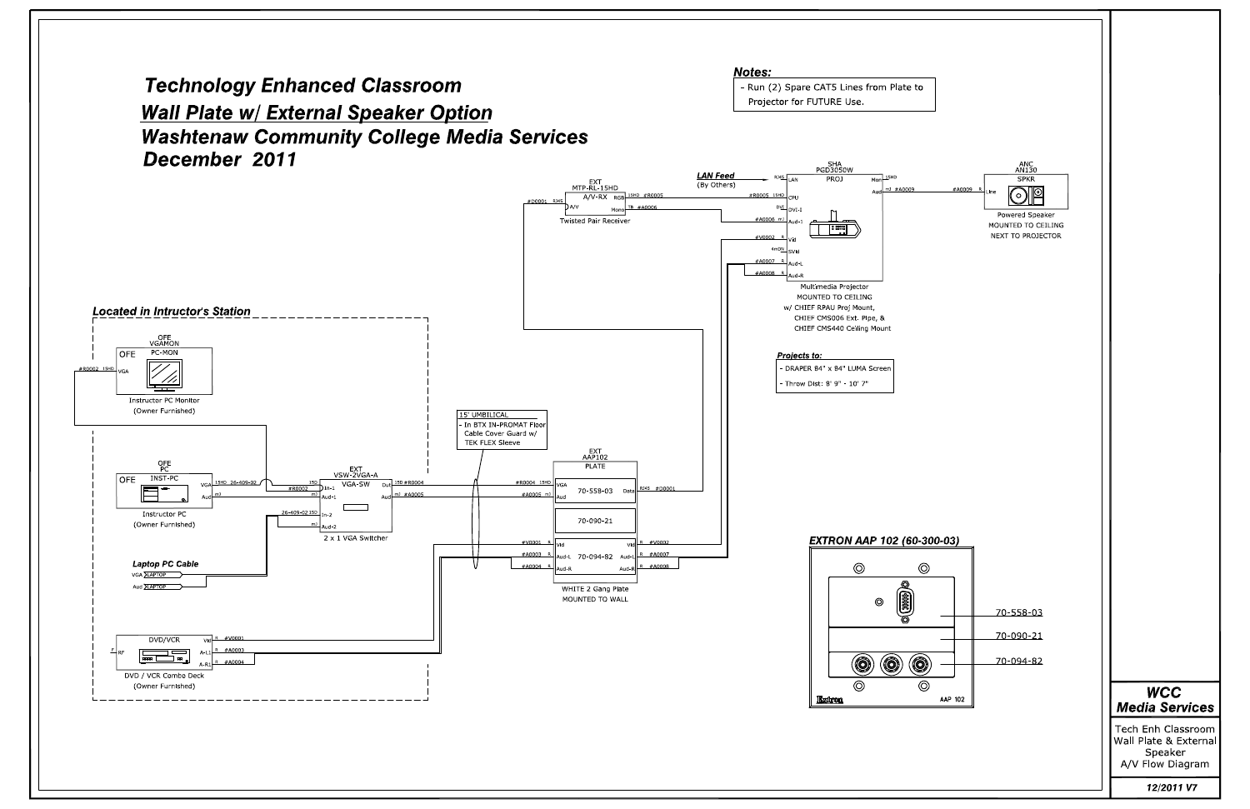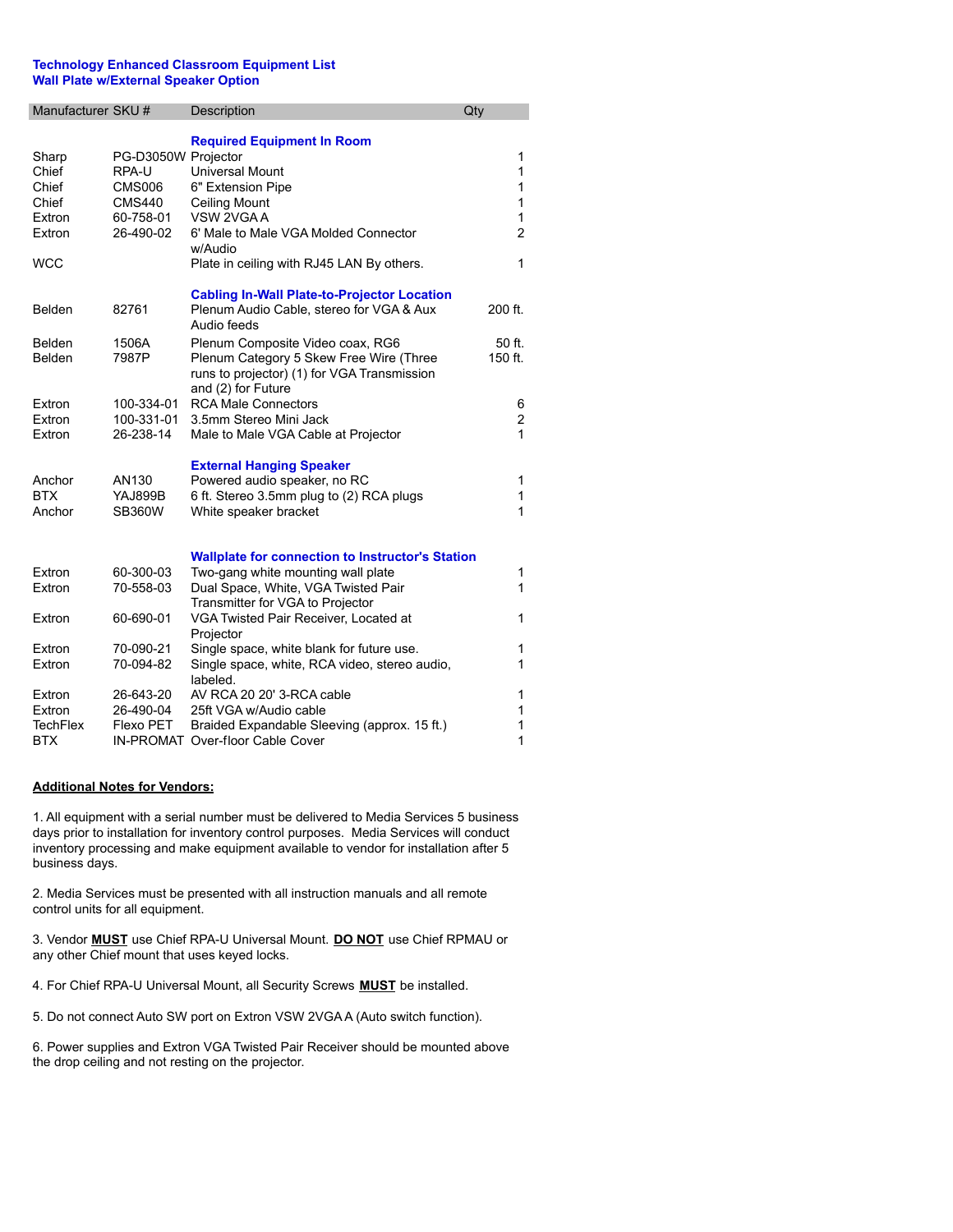## **Technology Enhanced Classroom Equipment List Wall Plate w/External Speaker Option**

| Manufacturer SKU #   |                            | Description                                                                                                   | Qty            |
|----------------------|----------------------------|---------------------------------------------------------------------------------------------------------------|----------------|
| Sharp                | PG-D3050W Projector        | <b>Required Equipment In Room</b>                                                                             | 1              |
| Chief                | RPA-U                      | <b>Universal Mount</b>                                                                                        | 1              |
| Chief                | <b>CMS006</b>              | 6" Extension Pipe                                                                                             | 1              |
| Chief                | <b>CMS440</b><br>60-758-01 | <b>Ceiling Mount</b><br>VSW 2VGA A                                                                            | 1<br>1         |
| Extron<br>Extron     | 26-490-02                  | 6' Male to Male VGA Molded Connector                                                                          | $\overline{2}$ |
|                      |                            | w/Audio                                                                                                       |                |
| <b>WCC</b>           |                            | Plate in ceiling with RJ45 LAN By others.                                                                     | 1              |
| Belden               | 82761                      | <b>Cabling In-Wall Plate-to-Projector Location</b><br>Plenum Audio Cable, stereo for VGA & Aux<br>Audio feeds | 200 ft.        |
| Belden               | 1506A                      | Plenum Composite Video coax, RG6                                                                              | 50 ft.         |
| Belden               | 7987P                      | Plenum Category 5 Skew Free Wire (Three<br>runs to projector) (1) for VGA Transmission<br>and (2) for Future  | 150 ft.        |
| Extron               | 100-334-01                 | <b>RCA Male Connectors</b>                                                                                    | 6              |
| Extron               | 100-331-01                 | 3.5mm Stereo Mini Jack                                                                                        | $\overline{c}$ |
| Extron               | 26-238-14                  | Male to Male VGA Cable at Projector                                                                           | 1              |
|                      |                            |                                                                                                               |                |
|                      |                            | <b>External Hanging Speaker</b>                                                                               |                |
| Anchor<br><b>BTX</b> | AN130                      | Powered audio speaker, no RC                                                                                  | 1              |
| Anchor               | YAJ899B<br><b>SB360W</b>   | 6 ft. Stereo 3.5mm plug to (2) RCA plugs<br>White speaker bracket                                             | 1<br>1         |
|                      |                            |                                                                                                               |                |
|                      |                            | <b>Wallplate for connection to Instructor's Station</b>                                                       |                |
| Extron               | 60-300-03                  | Two-gang white mounting wall plate                                                                            | 1              |
| Extron               | 70-558-03                  | Dual Space, White, VGA Twisted Pair                                                                           | 1              |
| Extron               | 60-690-01                  | Transmitter for VGA to Projector<br>VGA Twisted Pair Receiver, Located at                                     | 1              |
|                      |                            | Projector                                                                                                     |                |
| Extron               | 70-090-21                  | Single space, white blank for future use.                                                                     | 1              |
| Extron               | 70-094-82                  | Single space, white, RCA video, stereo audio,<br>labeled.                                                     | 1              |
| Extron               | 26-643-20                  | AV RCA 20 20' 3-RCA cable                                                                                     | 1              |
| Extron               | 26-490-04                  | 25ft VGA w/Audio cable                                                                                        | 1              |
| <b>TechFlex</b>      | Flexo PET                  | Braided Expandable Sleeving (approx. 15 ft.)                                                                  | 1              |
| <b>BTX</b>           |                            | IN-PROMAT Over-floor Cable Cover                                                                              | $\mathbf 1$    |

## **Additional Notes for Vendors:**

1. All equipment with a serial number must be delivered to Media Services 5 business days prior to installation for inventory control purposes. Media Services will conduct inventory processing and make equipment available to vendor for installation after 5 business days.

2. Media Services must be presented with all instruction manuals and all remote control units for all equipment.

3. Vendor **MUST** use Chief RPA-U Universal Mount. **DO NOT** use Chief RPMAU or any other Chief mount that uses keyed locks.

4. For Chief RPA-U Universal Mount, all Security Screws **MUST** be installed.

5. Do not connect Auto SW port on Extron VSW 2VGA A (Auto switch function).

6. Power supplies and Extron VGA Twisted Pair Receiver should be mounted above the drop ceiling and not resting on the projector.